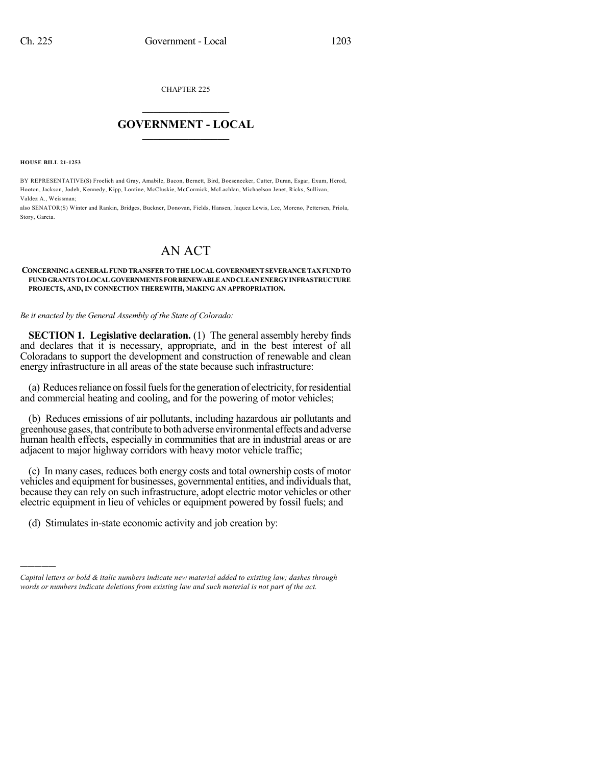CHAPTER 225

## $\mathcal{L}_\text{max}$  . The set of the set of the set of the set of the set of the set of the set of the set of the set of the set of the set of the set of the set of the set of the set of the set of the set of the set of the set **GOVERNMENT - LOCAL**  $\_$

**HOUSE BILL 21-1253**

)))))

BY REPRESENTATIVE(S) Froelich and Gray, Amabile, Bacon, Bernett, Bird, Boesenecker, Cutter, Duran, Esgar, Exum, Herod, Hooton, Jackson, Jodeh, Kennedy, Kipp, Lontine, McCluskie, McCormick, McLachlan, Michaelson Jenet, Ricks, Sullivan, Valdez A., Weissman;

also SENATOR(S) Winter and Rankin, Bridges, Buckner, Donovan, Fields, Hansen, Jaquez Lewis, Lee, Moreno, Pettersen, Priola, Story, Garcia.

## AN ACT

## **CONCERNINGAGENERALFUND TRANSFER TOTHELOCAL GOVERNMENTSEVERANCETAXFUNDTO FUNDGRANTS TOLOCALGOVERNMENTSFORRENEWABLEANDCLEANENERGYINFRASTRUCTURE PROJECTS, AND, IN CONNECTION THEREWITH, MAKING AN APPROPRIATION.**

## *Be it enacted by the General Assembly of the State of Colorado:*

**SECTION 1. Legislative declaration.** (1) The general assembly hereby finds and declares that it is necessary, appropriate, and in the best interest of all Coloradans to support the development and construction of renewable and clean energy infrastructure in all areas of the state because such infrastructure:

(a) Reduces reliance on fossil fuels for the generation of electricity, for residential and commercial heating and cooling, and for the powering of motor vehicles;

(b) Reduces emissions of air pollutants, including hazardous air pollutants and greenhousegases, that contribute to both adverse environmental effects andadverse human health effects, especially in communities that are in industrial areas or are adjacent to major highway corridors with heavy motor vehicle traffic;

(c) In many cases, reduces both energy costs and total ownership costs of motor vehicles and equipment for businesses, governmental entities, and individuals that, because they can rely on such infrastructure, adopt electric motor vehicles or other electric equipment in lieu of vehicles or equipment powered by fossil fuels; and

(d) Stimulates in-state economic activity and job creation by:

*Capital letters or bold & italic numbers indicate new material added to existing law; dashes through words or numbers indicate deletions from existing law and such material is not part of the act.*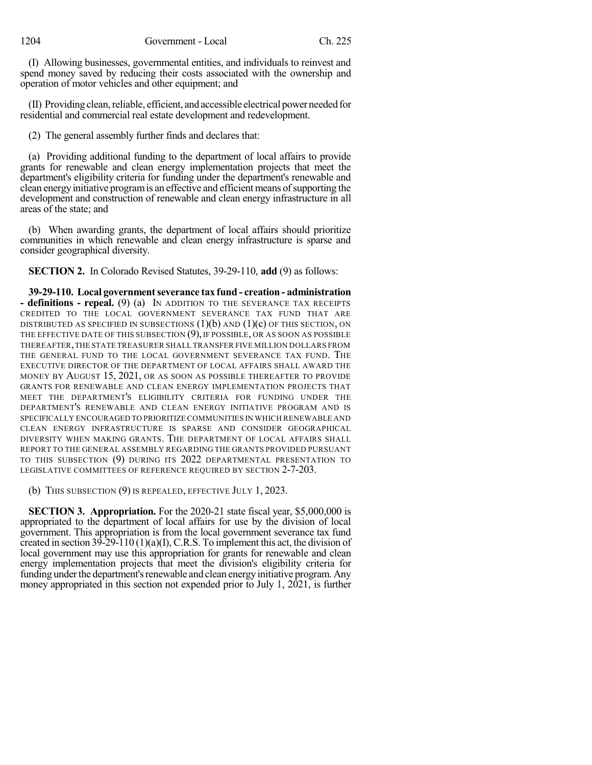(I) Allowing businesses, governmental entities, and individuals to reinvest and spend money saved by reducing their costs associated with the ownership and operation of motor vehicles and other equipment; and

 $(II)$  Providing clean, reliable, efficient, and accessible electrical power needed for residential and commercial real estate development and redevelopment.

(2) The general assembly further finds and declares that:

(a) Providing additional funding to the department of local affairs to provide grants for renewable and clean energy implementation projects that meet the department's eligibility criteria for funding under the department's renewable and clean energyinitiative programis an effective and efficient means ofsupporting the development and construction of renewable and clean energy infrastructure in all areas of the state; and

(b) When awarding grants, the department of local affairs should prioritize communities in which renewable and clean energy infrastructure is sparse and consider geographical diversity.

**SECTION 2.** In Colorado Revised Statutes, 39-29-110, **add** (9) as follows:

**39-29-110. Local governmentseverance tax fund - creation - administration - definitions - repeal.** (9) (a) IN ADDITION TO THE SEVERANCE TAX RECEIPTS CREDITED TO THE LOCAL GOVERNMENT SEVERANCE TAX FUND THAT ARE DISTRIBUTED AS SPECIFIED IN SUBSECTIONS  $(1)(b)$  and  $(1)(c)$  of this section, on THE EFFECTIVE DATE OF THIS SUBSECTION (9), IF POSSIBLE, OR AS SOON AS POSSIBLE THEREAFTER,THE STATE TREASURER SHALL TRANSFER FIVE MILLION DOLLARS FROM THE GENERAL FUND TO THE LOCAL GOVERNMENT SEVERANCE TAX FUND. THE EXECUTIVE DIRECTOR OF THE DEPARTMENT OF LOCAL AFFAIRS SHALL AWARD THE MONEY BY AUGUST 15, 2021, OR AS SOON AS POSSIBLE THEREAFTER TO PROVIDE GRANTS FOR RENEWABLE AND CLEAN ENERGY IMPLEMENTATION PROJECTS THAT MEET THE DEPARTMENT'S ELIGIBILITY CRITERIA FOR FUNDING UNDER THE DEPARTMENT'S RENEWABLE AND CLEAN ENERGY INITIATIVE PROGRAM AND IS SPECIFICALLY ENCOURAGED TO PRIORITIZE COMMUNITIES IN WHICH RENEWABLE AND CLEAN ENERGY INFRASTRUCTURE IS SPARSE AND CONSIDER GEOGRAPHICAL DIVERSITY WHEN MAKING GRANTS. THE DEPARTMENT OF LOCAL AFFAIRS SHALL REPORT TO THE GENERAL ASSEMBLY REGARDING THE GRANTS PROVIDED PURSUANT TO THIS SUBSECTION (9) DURING ITS 2022 DEPARTMENTAL PRESENTATION TO LEGISLATIVE COMMITTEES OF REFERENCE REQUIRED BY SECTION 2-7-203.

(b) THIS SUBSECTION (9) IS REPEALED, EFFECTIVE JULY 1, 2023.

**SECTION 3. Appropriation.** For the 2020-21 state fiscal year, \$5,000,000 is appropriated to the department of local affairs for use by the division of local government. This appropriation is from the local government severance tax fund created in section 39-29-110 (1)(a)(I), C.R.S. To implement this act, the division of local government may use this appropriation for grants for renewable and clean energy implementation projects that meet the division's eligibility criteria for funding under the department's renewable and clean energy initiative program. Any money appropriated in this section not expended prior to July 1, 2021, is further